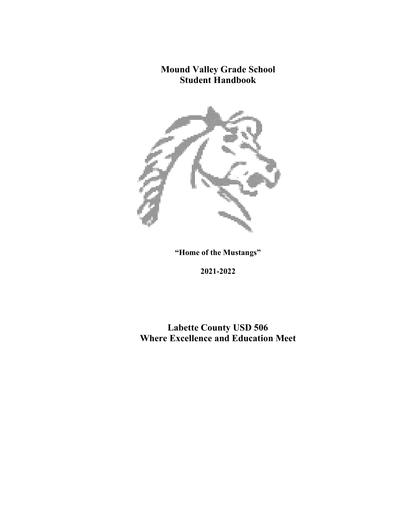# **Mound Valley Grade School Student Handbook**



**"Home of the Mustangs"** 

**2021-2022**

**Labette County USD 506 Where Excellence and Education Meet**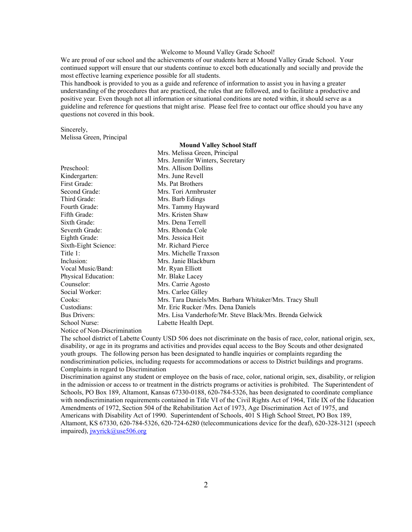#### Welcome to Mound Valley Grade School!

We are proud of our school and the achievements of our students here at Mound Valley Grade School. Your continued support will ensure that our students continue to excel both educationally and socially and provide the most effective learning experience possible for all students.

This handbook is provided to you as a guide and reference of information to assist you in having a greater understanding of the procedures that are practiced, the rules that are followed, and to facilitate a productive and positive year. Even though not all information or situational conditions are noted within, it should serve as a guideline and reference for questions that might arise. Please feel free to contact our office should you have any questions not covered in this book.

Sincerely, Melissa Green, Principal

| Mrs. Melissa Green, Principal |                                                          |  |  |
|-------------------------------|----------------------------------------------------------|--|--|
|                               | Mrs. Jennifer Winters, Secretary                         |  |  |
| Preschool:                    | Mrs. Allison Dollins                                     |  |  |
| Kindergarten:                 | Mrs. June Revell                                         |  |  |
| First Grade:                  | Ms. Pat Brothers                                         |  |  |
| Second Grade:                 | Mrs. Tori Armbruster                                     |  |  |
| Third Grade:                  | Mrs. Barb Edings                                         |  |  |
| Fourth Grade:                 | Mrs. Tammy Hayward                                       |  |  |
| Fifth Grade:                  | Mrs. Kristen Shaw                                        |  |  |
| Sixth Grade:                  | Mrs. Dena Terrell                                        |  |  |
| Seventh Grade:                | Mrs. Rhonda Cole                                         |  |  |
| Eighth Grade:                 | Mrs. Jessica Heit                                        |  |  |
| Sixth-Eight Science:          | Mr. Richard Pierce                                       |  |  |
| Title 1:                      | Mrs. Michelle Traxson                                    |  |  |
| Inclusion:                    | Mrs. Janie Blackburn                                     |  |  |
| Vocal Music/Band:             | Mr. Ryan Elliott                                         |  |  |
| Physical Education:           | Mr. Blake Lacey                                          |  |  |
| Counselor:                    | Mrs. Carrie Agosto                                       |  |  |
| Social Worker:                | Mrs. Carlee Gilley                                       |  |  |
| Cooks:                        | Mrs. Tara Daniels/Mrs. Barbara Whitaker/Mrs. Tracy Shull |  |  |
| Custodians:                   | Mr. Eric Rucker /Mrs. Dena Daniels                       |  |  |
| <b>Bus Drivers:</b>           | Mrs. Lisa Vanderhofe/Mr. Steve Black/Mrs. Brenda Gelwick |  |  |
| School Nurse:                 | Labette Health Dept.                                     |  |  |

# **Mound Valley School Staff**

Notice of Non-Discrimination

The school district of Labette County USD 506 does not discriminate on the basis of race, color, national origin, sex, disability, or age in its programs and activities and provides equal access to the Boy Scouts and other designated youth groups. The following person has been designated to handle inquiries or complaints regarding the nondiscrimination policies, including requests for accommodations or access to District buildings and programs. Complaints in regard to Discrimination

Discrimination against any student or employee on the basis of race, color, national origin, sex, disability, or religion in the admission or access to or treatment in the districts programs or activities is prohibited. The Superintendent of Schools, PO Box 189, Altamont, Kansas 67330-0188, 620-784-5326, has been designated to coordinate compliance with nondiscrimination requirements contained in Title VI of the Civil Rights Act of 1964, Title IX of the Education Amendments of 1972, Section 504 of the Rehabilitation Act of 1973, Age Discrimination Act of 1975, and Americans with Disability Act of 1990. Superintendent of Schools, 401 S High School Street, PO Box 189, Altamont, KS 67330, 620-784-5326, 620-724-6280 (telecommunications device for the deaf), 620-328-3121 (speech impaired), [jwyrick@use506.org](mailto:jwyrick@use506.org)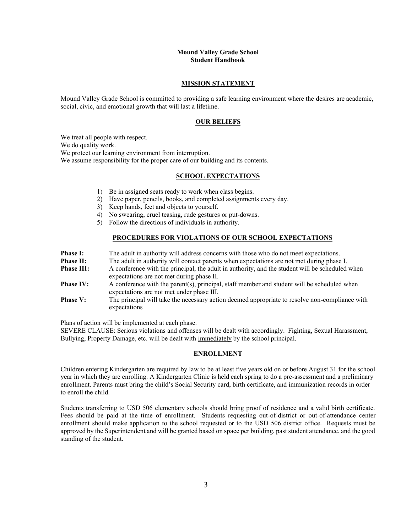# **Mound Valley Grade School Student Handbook**

# **MISSION STATEMENT**

Mound Valley Grade School is committed to providing a safe learning environment where the desires are academic, social, civic, and emotional growth that will last a lifetime.

#### **OUR BELIEFS**

We treat all people with respect.

We do quality work.

We protect our learning environment from interruption.

We assume responsibility for the proper care of our building and its contents.

#### **SCHOOL EXPECTATIONS**

- 1) Be in assigned seats ready to work when class begins.
- 2) Have paper, pencils, books, and completed assignments every day.
- 3) Keep hands, feet and objects to yourself.
- 4) No swearing, cruel teasing, rude gestures or put-downs.
- 5) Follow the directions of individuals in authority.

### **PROCEDURES FOR VIOLATIONS OF OUR SCHOOL EXPECTATIONS**

| <b>Phase I:</b>   | The adult in authority will address concerns with those who do not meet expectations.           |
|-------------------|-------------------------------------------------------------------------------------------------|
| <b>Phase II:</b>  | The adult in authority will contact parents when expectations are not met during phase I.       |
| <b>Phase III:</b> | A conference with the principal, the adult in authority, and the student will be scheduled when |
|                   | expectations are not met during phase II.                                                       |
| <b>Phase IV:</b>  | A conference with the parent(s), principal, staff member and student will be scheduled when     |
|                   | expectations are not met under phase III.                                                       |
| <b>Phase V:</b>   | The principal will take the necessary action deemed appropriate to resolve non-compliance with  |
|                   | expectations                                                                                    |

Plans of action will be implemented at each phase.

SEVERE CLAUSE: Serious violations and offenses will be dealt with accordingly. Fighting, Sexual Harassment, Bullying, Property Damage, etc. will be dealt with immediately by the school principal.

# **ENROLLMENT**

Children entering Kindergarten are required by law to be at least five years old on or before August 31 for the school year in which they are enrolling. A Kindergarten Clinic is held each spring to do a pre-assessment and a preliminary enrollment. Parents must bring the child's Social Security card, birth certificate, and immunization records in order to enroll the child.

Students transferring to USD 506 elementary schools should bring proof of residence and a valid birth certificate. Fees should be paid at the time of enrollment. Students requesting out-of-district or out-of-attendance center enrollment should make application to the school requested or to the USD 506 district office. Requests must be approved by the Superintendent and will be granted based on space per building, past student attendance, and the good standing of the student.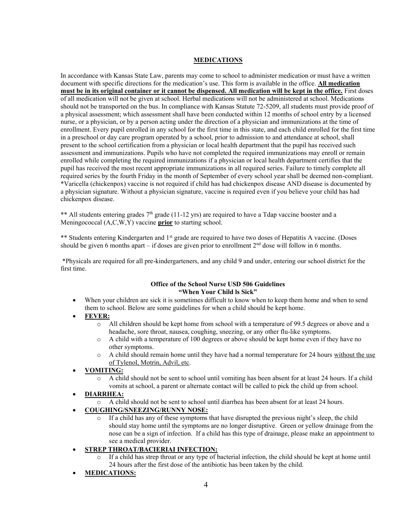# **MEDICATIONS**

In accordance with Kansas State Law, parents may come to school to administer medication or must have a written document with specific directions for the medication's use. This form is available in the office. **All medication must be in its original container or it cannot be dispensed. All medication will be kept in the office.** First doses of all medication will not be given at school. Herbal medications will not be administered at school. Medications should not be transported on the bus. In compliance with Kansas Statute 72-5209, all students must provide proof of a physical assessment; which assessment shall have been conducted within 12 months of school entry by a licensed nurse, or a physician, or by a person acting under the direction of a physician and immunizations at the time of enrollment. Every pupil enrolled in any school for the first time in this state, and each child enrolled for the first time in a preschool or day care program operated by a school, prior to admission to and attendance at school, shall present to the school certification from a physician or local health department that the pupil has received such assessment and immunizations. Pupils who have not completed the required immunizations may enroll or remain enrolled while completing the required immunizations if a physician or local health department certifies that the pupil has received the most recent appropriate immunizations in all required series. Failure to timely complete all required series by the fourth Friday in the month of September of every school year shall be deemed non-compliant. \*Varicella (chickenpox) vaccine is not required if child has had chickenpox disease AND disease is documented by a physician signature. Without a physician signature, vaccine is required even if you believe your child has had chickenpox disease.

\*\* All students entering grades  $7<sup>th</sup>$  grade (11-12 yrs) are required to have a Tdap vaccine booster and a Meningococcal (A,C,W,Y) vaccine **prior** to starting school.

\*\* Students entering Kindergarten and  $1<sup>st</sup>$  grade are required to have two doses of Hepatitis A vaccine. (Doses should be given 6 months apart – if doses are given prior to enrollment  $2<sup>nd</sup>$  dose will follow in 6 months.

\*Physicals are required for all pre-kindergarteners, and any child 9 and under, entering our school district for the first time.

# **Office of the School Nurse USD 506 Guidelines "When Your Child ls Sick"**

When your children are sick it is sometimes difficult to know when to keep them home and when to send them to school. Below are some guidelines for when a child should be kept home.

# • **FEVER:**

- o All children should be kept home from school with a temperature of 99.5 degrees or above and a headache, sore throat, nausea, coughing, sneezing, or any other flu-like symptoms.
- o A child with a temperature of 100 degrees or above should be kept home even if they have no other symptoms.
- $\circ$  A child should remain home until they have had a normal temperature for 24 hours without the use of Tylenol, Motrin, Advil, etc.

# • **VOMITING:**

o A child should not be sent to school until vomiting has been absent for at least 24 hours. If a child vomits at school, a parent or alternate contact will be called to pick the child up from school.

# • **DIARRHEA:**

- o A child should not be sent to school until diarrhea has been absent for at least 24 hours.
- **COUGHING/SNEEZING/RUNNY NOSE:**
	- If a child has any of these symptoms that have disrupted the previous night's sleep, the child should stay home until the symptoms are no longer disruptive. Green or yellow drainage from the nose can be a sign of infection. If a child has this type of drainage, please make an appointment to see a medical provider.

# • **STREP THROAT/BACIERIAI INFECTION:**

- If a child has strep throat or any type of bacterial infection, the child should be kept at home until 24 hours after the first dose of the antibiotic has been taken by the child.
- **MEDICATIONS:**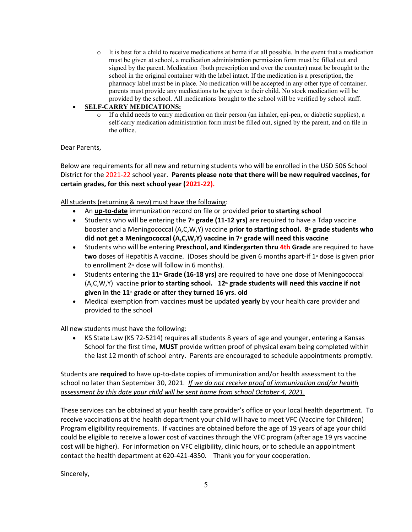$\circ$  It is best for a child to receive medications at home if at all possible. In the event that a medication must be given at school, a medication administration permission form must be filled out and signed by the parent. Medication {both prescription and over the counter) must be brought to the school in the original container with the label intact. If the medication is a prescription, the pharmacy label must be in place. No medication will be accepted in any other type of container. parents must provide any medications to be given to their child. No stock medication will be provided by the school. All medications brought to the school will be verified by school staff.

# • **SELF-CARRY MEDICATIONS:**

If a child needs to carry medication on their person (an inhaler, epi-pen, or diabetic supplies), a self-carry medication administration form must be filled out, signed by the parent, and on file in the office.

# Dear Parents,

Below are requirements for all new and returning students who will be enrolled in the USD 506 School District for the 2021-22 school year. **Parents please note that there will be new required vaccines, for certain grades, for this next school year (2021-22).**

# All students (returning & new) must have the following:

- An **up-to-date** immunization record on file or provided **prior to starting school**
- Students who will be entering the 7<sup>th</sup> grade (11-12 yrs) are required to have a Tdap vaccine booster and a Meningococcal (A,C,W,Y) vaccine prior to starting school. 8<sup>*the grade students who*</sup> **did not get a Meningococcal (A,C,W,Y) vaccine in 7th grade will need this vaccine**
- Students who will be entering **Preschool, and Kindergarten thru 4th Grade** are required to have two doses of Hepatitis A vaccine. (Doses should be given 6 months apart-if 1<sup>\*</sup> dose is given prior to enrollment  $2<sup>nd</sup>$  dose will follow in 6 months).
- Students entering the **11th Grade (16-18 yrs)** are required to have one dose of Meningococcal (A,C,W,Y) vaccine **prior to starting school. 12**<sup>*th*</sup> **grade students will need this vaccine if not given in the 11th grade or after they turned 16 yrs. old**
- Medical exemption from vaccines **must** be updated **yearly** by your health care provider and provided to the school

All new students must have the following:

• KS State Law (KS 72-5214) requires all students 8 years of age and younger, entering a Kansas School for the first time, **MUST** provide written proof of physical exam being completed within the last 12 month of school entry. Parents are encouraged to schedule appointments promptly.

Students are **required** to have up-to-date copies of immunization and/or health assessment to the school no later than September 30, 2021. *If we do not receive proof of immunization and/or health assessment by this date your child will be sent home from school October 4, 2021.*

These services can be obtained at your health care provider's office or your local health department. To receive vaccinations at the health department your child will have to meet VFC (Vaccine for Children) Program eligibility requirements. If vaccines are obtained before the age of 19 years of age your child could be eligible to receive a lower cost of vaccines through the VFC program (after age 19 yrs vaccine cost will be higher). For information on VFC eligibility, clinic hours, or to schedule an appointment contact the health department at 620-421-4350. Thank you for your cooperation.

Sincerely,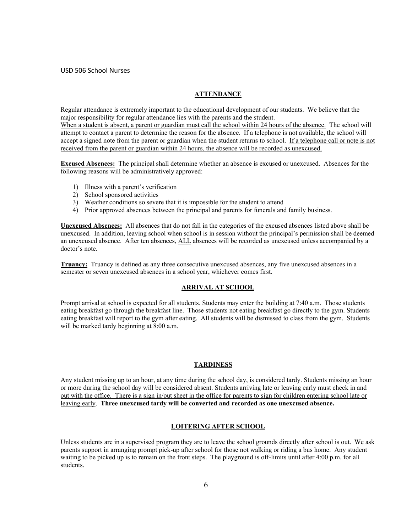# USD 506 School Nurses

# **ATTENDANCE**

Regular attendance is extremely important to the educational development of our students. We believe that the major responsibility for regular attendance lies with the parents and the student.

When a student is absent, a parent or guardian must call the school within 24 hours of the absence. The school will attempt to contact a parent to determine the reason for the absence. If a telephone is not available, the school will accept a signed note from the parent or guardian when the student returns to school. If a telephone call or note is not received from the parent or guardian within 24 hours, the absence will be recorded as unexcused.

**Excused Absences:** The principal shall determine whether an absence is excused or unexcused. Absences for the following reasons will be administratively approved:

- 1) Illness with a parent's verification
- 2) School sponsored activities
- 3) Weather conditions so severe that it is impossible for the student to attend
- 4) Prior approved absences between the principal and parents for funerals and family business.

**Unexcused Absences:** All absences that do not fall in the categories of the excused absences listed above shall be unexcused. In addition, leaving school when school is in session without the principal's permission shall be deemed an unexcused absence. After ten absences, ALL absences will be recorded as unexcused unless accompanied by a doctor's note.

**Truancy:** Truancy is defined as any three consecutive unexcused absences, any five unexcused absences in a semester or seven unexcused absences in a school year, whichever comes first.

# **ARRIVAL AT SCHOOL**

Prompt arrival at school is expected for all students. Students may enter the building at 7:40 a.m. Those students eating breakfast go through the breakfast line. Those students not eating breakfast go directly to the gym. Students eating breakfast will report to the gym after eating. All students will be dismissed to class from the gym. Students will be marked tardy beginning at 8:00 a.m.

## **TARDINESS**

Any student missing up to an hour, at any time during the school day, is considered tardy. Students missing an hour or more during the school day will be considered absent. Students arriving late or leaving early must check in and out with the office. There is a sign in/out sheet in the office for parents to sign for children entering school late or leaving early. **Three unexcused tardy will be converted and recorded as one unexcused absence.**

# **LOITERING AFTER SCHOOL**

Unless students are in a supervised program they are to leave the school grounds directly after school is out. We ask parents support in arranging prompt pick-up after school for those not walking or riding a bus home. Any student waiting to be picked up is to remain on the front steps. The playground is off-limits until after 4:00 p.m. for all students.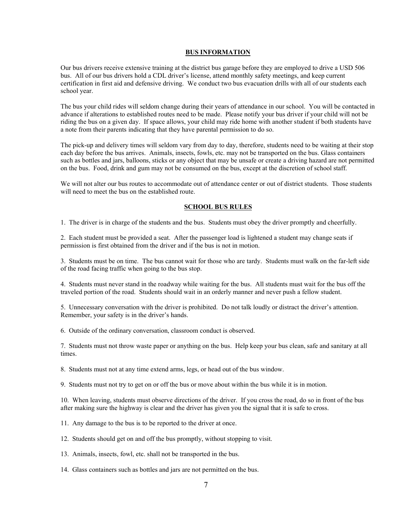#### **BUS INFORMATION**

Our bus drivers receive extensive training at the district bus garage before they are employed to drive a USD 506 bus. All of our bus drivers hold a CDL driver's license, attend monthly safety meetings, and keep current certification in first aid and defensive driving. We conduct two bus evacuation drills with all of our students each school year.

The bus your child rides will seldom change during their years of attendance in our school. You will be contacted in advance if alterations to established routes need to be made. Please notify your bus driver if your child will not be riding the bus on a given day. If space allows, your child may ride home with another student if both students have a note from their parents indicating that they have parental permission to do so.

The pick-up and delivery times will seldom vary from day to day, therefore, students need to be waiting at their stop each day before the bus arrives. Animals, insects, fowls, etc. may not be transported on the bus. Glass containers such as bottles and jars, balloons, sticks or any object that may be unsafe or create a driving hazard are not permitted on the bus. Food, drink and gum may not be consumed on the bus, except at the discretion of school staff.

We will not alter our bus routes to accommodate out of attendance center or out of district students. Those students will need to meet the bus on the established route.

# **SCHOOL BUS RULES**

1. The driver is in charge of the students and the bus. Students must obey the driver promptly and cheerfully.

2. Each student must be provided a seat. After the passenger load is lightened a student may change seats if permission is first obtained from the driver and if the bus is not in motion.

3. Students must be on time. The bus cannot wait for those who are tardy. Students must walk on the far-left side of the road facing traffic when going to the bus stop.

4. Students must never stand in the roadway while waiting for the bus. All students must wait for the bus off the traveled portion of the road. Students should wait in an orderly manner and never push a fellow student.

5. Unnecessary conversation with the driver is prohibited. Do not talk loudly or distract the driver's attention. Remember, your safety is in the driver's hands.

6. Outside of the ordinary conversation, classroom conduct is observed.

7. Students must not throw waste paper or anything on the bus. Help keep your bus clean, safe and sanitary at all times.

8. Students must not at any time extend arms, legs, or head out of the bus window.

9. Students must not try to get on or off the bus or move about within the bus while it is in motion.

10. When leaving, students must observe directions of the driver. If you cross the road, do so in front of the bus after making sure the highway is clear and the driver has given you the signal that it is safe to cross.

11. Any damage to the bus is to be reported to the driver at once.

12. Students should get on and off the bus promptly, without stopping to visit.

13. Animals, insects, fowl, etc. shall not be transported in the bus.

14. Glass containers such as bottles and jars are not permitted on the bus.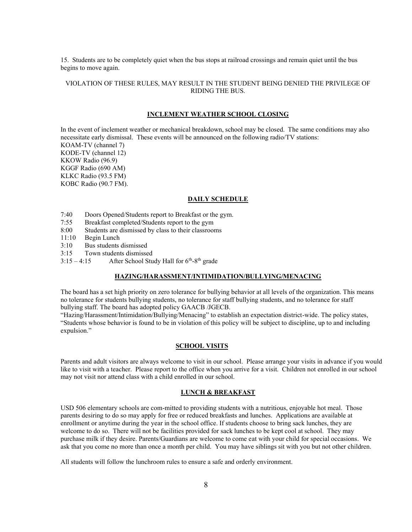15. Students are to be completely quiet when the bus stops at railroad crossings and remain quiet until the bus begins to move again.

# VIOLATION OF THESE RULES, MAY RESULT IN THE STUDENT BEING DENIED THE PRIVILEGE OF RIDING THE BUS.

# **INCLEMENT WEATHER SCHOOL CLOSING**

In the event of inclement weather or mechanical breakdown, school may be closed. The same conditions may also necessitate early dismissal. These events will be announced on the following radio/TV stations: KOAM-TV (channel 7) KODE-TV (channel 12)

KKOW Radio (96.9) KGGF Radio (690 AM) KLKC Radio (93.5 FM) KOBC Radio (90.7 FM).

#### **DAILY SCHEDULE**

- 7:40 Doors Opened/Students report to Breakfast or the gym.
- 7:55 Breakfast completed/Students report to the gym
- 8:00 Students are dismissed by class to their classrooms
- 11:10 Begin Lunch
- 3:10 Bus students dismissed
- 3:15 Town students dismissed
- $3:15-4:15$  After School Study Hall for  $6<sup>th</sup>-8<sup>th</sup>$  grade

#### **HAZING/HARASSMENT/INTIMIDATION/BULLYING/MENACING**

The board has a set high priority on zero tolerance for bullying behavior at all levels of the organization. This means no tolerance for students bullying students, no tolerance for staff bullying students, and no tolerance for staff bullying staff. The board has adopted policy GAACB /JGECB.

"Hazing/Harassment/Intimidation/Bullying/Menacing" to establish an expectation district-wide. The policy states, "Students whose behavior is found to be in violation of this policy will be subject to discipline, up to and including expulsion."

# **SCHOOL VISITS**

Parents and adult visitors are always welcome to visit in our school. Please arrange your visits in advance if you would like to visit with a teacher. Please report to the office when you arrive for a visit. Children not enrolled in our school may not visit nor attend class with a child enrolled in our school.

#### **LUNCH & BREAKFAST**

USD 506 elementary schools are com-mitted to providing students with a nutritious, enjoyable hot meal. Those parents desiring to do so may apply for free or reduced breakfasts and lunches. Applications are available at enrollment or anytime during the year in the school office. If students choose to bring sack lunches, they are welcome to do so. There will not be facilities provided for sack lunches to be kept cool at school. They may purchase milk if they desire. Parents/Guardians are welcome to come eat with your child for special occasions. We ask that you come no more than once a month per child. You may have siblings sit with you but not other children.

All students will follow the lunchroom rules to ensure a safe and orderly environment.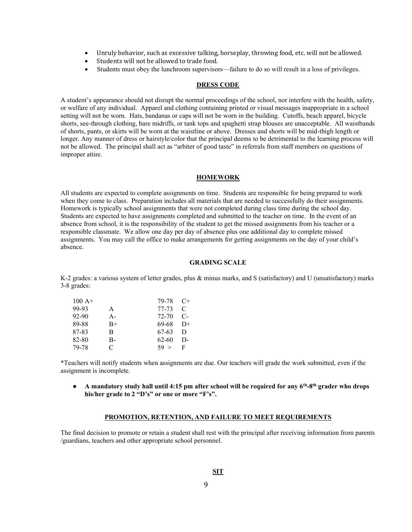- Unruly behavior, such as excessive talking, horseplay, throwing food, etc. will not be allowed.
- Students will not be allowed to trade food.
- Students must obey the lunchroom supervisors—failure to do so will result in a loss of privileges.

# **DRESS CODE**

A student's appearance should not disrupt the normal proceedings of the school, nor interfere with the health, safety, or welfare of any individual. Apparel and clothing containing printed or visual messages inappropriate in a school setting will not be worn. Hats, bandanas or caps will not be worn in the building. Cutoffs, beach apparel, bicycle shorts, see-through clothing, bare midriffs, or tank tops and spaghetti strap blouses are unacceptable. All waistbands of shorts, pants, or skirts will be worn at the waistline or above. Dresses and shorts will be mid-thigh length or longer. Any manner of dress or hairstyle/color that the principal deems to be detrimental to the learning process will not be allowed. The principal shall act as "arbiter of good taste" in referrals from staff members on questions of improper attire.

# **HOMEWORK**

All students are expected to complete assignments on time. Students are responsible for being prepared to work when they come to class. Preparation includes all materials that are needed to successfully do their assignments. Homework is typically school assignments that were not completed during class time during the school day. Students are expected to have assignments completed and submitted to the teacher on time. In the event of an absence from school, it is the responsibility of the student to get the missed assignments from his teacher or a responsible classmate. We allow one day per day of absence plus one additional day to complete missed assignments. You may call the office to make arrangements for getting assignments on the day of your child's absence.

#### **GRADING SCALE**

K-2 grades: a various system of letter grades, plus & minus marks, and S (satisfactory) and U (unsatisfactory) marks 3-8 grades:

| $100 A+$ |       | 79-78     | $C+$          |
|----------|-------|-----------|---------------|
| 99-93    | A     | 77-73     | $\mathcal{C}$ |
| 92-90    | $A -$ | $72 - 70$ | $C-$          |
| 89-88    | $B+$  | 69-68     | $\rm D+$      |
| 87-83    | B     | 67-63     | D             |
| 82-80    | В-    | 62-60     | D-            |
| 79-78    | C     | 59 >      | $\mathbf{F}$  |

\*Teachers will notify students when assignments are due. Our teachers will grade the work submitted, even if the assignment is incomplete.

**•** A mandatory study hall until 4:15 pm after school will be required for any 6<sup>th</sup>-8<sup>th</sup> grader who drops **his/her grade to 2 "D's" or one or more "F's".**

# **PROMOTION, RETENTION, AND FAILURE TO MEET REQUIREMENTS**

The final decision to promote or retain a student shall rest with the principal after receiving information from parents /guardians, teachers and other appropriate school personnel.

## **SIT**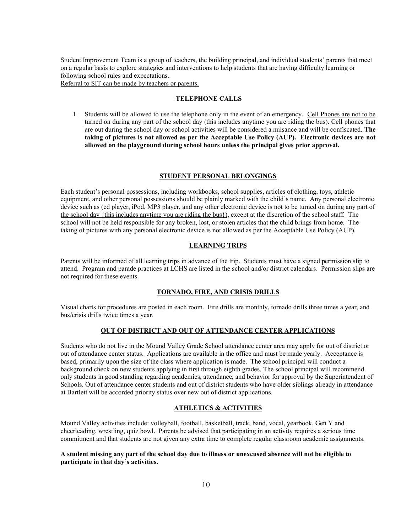Student Improvement Team is a group of teachers, the building principal, and individual students' parents that meet on a regular basis to explore strategies and interventions to help students that are having difficulty learning or following school rules and expectations.

Referral to SIT can be made by teachers or parents.

## **TELEPHONE CALLS**

1. Students will be allowed to use the telephone only in the event of an emergency. Cell Phones are not to be turned on during any part of the school day (this includes anytime you are riding the bus). Cell phones that are out during the school day or school activities will be considered a nuisance and will be confiscated. **The taking of pictures is not allowed as per the Acceptable Use Policy (AUP). Electronic devices are not allowed on the playground during school hours unless the principal gives prior approval.**

#### **STUDENT PERSONAL BELONGINGS**

Each student's personal possessions, including workbooks, school supplies, articles of clothing, toys, athletic equipment, and other personal possessions should be plainly marked with the child's name. Any personal electronic device such as (cd player, iPod, MP3 player, and any other electronic device is not to be turned on during any part of the school day {this includes anytime you are riding the bus}), except at the discretion of the school staff. The school will not be held responsible for any broken, lost, or stolen articles that the child brings from home. The taking of pictures with any personal electronic device is not allowed as per the Acceptable Use Policy (AUP).

# **LEARNING TRIPS**

Parents will be informed of all learning trips in advance of the trip. Students must have a signed permission slip to attend. Program and parade practices at LCHS are listed in the school and/or district calendars. Permission slips are not required for these events.

# **TORNADO, FIRE, AND CRISIS DRILLS**

Visual charts for procedures are posted in each room. Fire drills are monthly, tornado drills three times a year, and bus/crisis drills twice times a year.

## **OUT OF DISTRICT AND OUT OF ATTENDANCE CENTER APPLICATIONS**

Students who do not live in the Mound Valley Grade School attendance center area may apply for out of district or out of attendance center status. Applications are available in the office and must be made yearly. Acceptance is based, primarily upon the size of the class where application is made. The school principal will conduct a background check on new students applying in first through eighth grades. The school principal will recommend only students in good standing regarding academics, attendance, and behavior for approval by the Superintendent of Schools. Out of attendance center students and out of district students who have older siblings already in attendance at Bartlett will be accorded priority status over new out of district applications.

# **ATHLETICS & ACTIVITIES**

Mound Valley activities include: volleyball, football, basketball, track, band, vocal, yearbook, Gen Y and cheerleading, wrestling, quiz bowl. Parents be advised that participating in an activity requires a serious time commitment and that students are not given any extra time to complete regular classroom academic assignments.

# **A student missing any part of the school day due to illness or unexcused absence will not be eligible to participate in that day's activities.**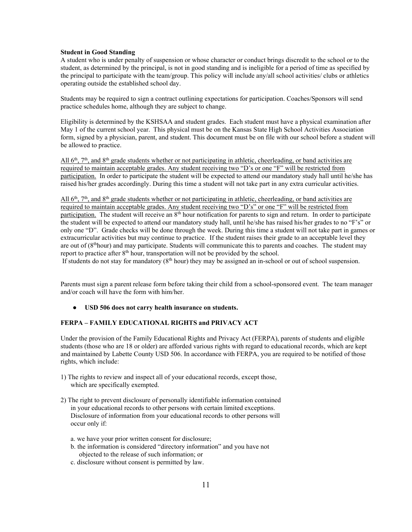#### **Student in Good Standing**

A student who is under penalty of suspension or whose character or conduct brings discredit to the school or to the student, as determined by the principal, is not in good standing and is ineligible for a period of time as specified by the principal to participate with the team/group. This policy will include any/all school activities/ clubs or athletics operating outside the established school day.

Students may be required to sign a contract outlining expectations for participation. Coaches/Sponsors will send practice schedules home, although they are subject to change.

Eligibility is determined by the KSHSAA and student grades. Each student must have a physical examination after May 1 of the current school year. This physical must be on the Kansas State High School Activities Association form, signed by a physician, parent, and student. This document must be on file with our school before a student will be allowed to practice.

All 6<sup>th</sup>, 7<sup>th</sup>, and 8<sup>th</sup> grade students whether or not participating in athletic, cheerleading, or band activities are required to maintain acceptable grades. Any student receiving two "D's or one "F" will be restricted from participation. In order to participate the student will be expected to attend our mandatory study hall until he/she has raised his/her grades accordingly. During this time a student will not take part in any extra curricular activities.

 $\Delta$ ll 6<sup>th</sup>, 7<sup>th</sup>, and 8<sup>th</sup> grade students whether or not participating in athletic, cheerleading, or band activities are required to maintain acceptable grades. Any student receiving two "D's" or one "F" will be restricted from participation. The student will receive an 8<sup>th</sup> hour notification for parents to sign and return. In order to participate the student will be expected to attend our mandatory study hall, until he/she has raised his/her grades to no "F's" or only one "D". Grade checks will be done through the week. During this time a student will not take part in games or extracurricular activities but may continue to practice. If the student raises their grade to an acceptable level they are out of  $(8<sup>th</sup> hour)$  and may participate. Students will communicate this to parents and coaches. The student may report to practice after  $8<sup>th</sup>$  hour, transportation will not be provided by the school.

If students do not stay for mandatory  $(8<sup>th</sup> hour)$  they may be assigned an in-school or out of school suspension.

Parents must sign a parent release form before taking their child from a school-sponsored event. The team manager and/or coach will have the form with him/her.

# ● **USD 506 does not carry health insurance on students.**

# **FERPA – FAMILY EDUCATIONAL RIGHTS and PRIVACY ACT**

Under the provision of the Family Educational Rights and Privacy Act (FERPA), parents of students and eligible students (those who are 18 or older) are afforded various rights with regard to educational records, which are kept and maintained by Labette County USD 506. In accordance with FERPA, you are required to be notified of those rights, which include:

- 1) The rights to review and inspect all of your educational records, except those, which are specifically exempted.
- 2) The right to prevent disclosure of personally identifiable information contained in your educational records to other persons with certain limited exceptions. Disclosure of information from your educational records to other persons will occur only if:
	- a. we have your prior written consent for disclosure;
	- b. the information is considered "directory information" and you have not objected to the release of such information; or
	- c. disclosure without consent is permitted by law.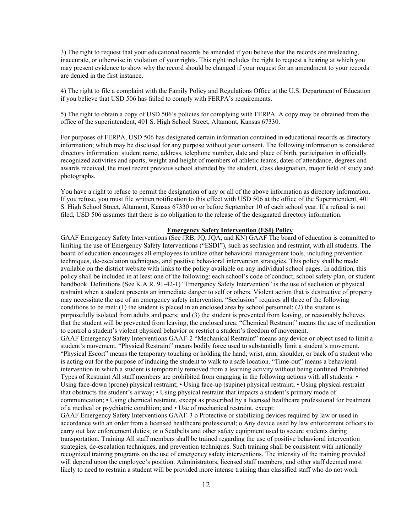3) The right to request that your educational records be amended if you believe that the records are misleading, inaccurate, or otherwise in violation of your rights. This right includes the right to request a hearing at which you may present evidence to show why the record should be changed if your request for an amendment to your records are denied in the first instance.

4) The right to file a complaint with the Family Policy and Regulations Office at the U.S. Department of Education if you believe that USD 506 has failed to comply with FERPA's requirements.

5) The right to obtain a copy of USD 506's policies for complying with FERPA. A copy may be obtained from the office of the superintendent, 401 S. High School Street, Altamont, Kansas 67330.

For purposes of FERPA, USD 506 has designated certain information contained in educational records as directory information; which may be disclosed for any purpose without your consent. The following information is considered directory information: student name, address, telephone number, date and place of birth, participation in officially recognized activities and sports, weight and height of members of athletic teams, dates of attendance, degrees and awards received, the most recent previous school attended by the student, class designation, major field of study and photographs.

You have a right to refuse to permit the designation of any or all of the above information as directory information. If you refuse, you must file written notification to this effect with USD 506 at the office of the Superintendent, 401 S. High School Street, Altamont, Kansas 67330 on or before September 10 of each school year. If a refusal is not filed, USD 506 assumes that there is no obligation to the release of the designated directory information.

### **Emergency Safety Intervention (ESI) Policy**

GAAF Emergency Safety Interventions (See JRB, JQ, JQA, and KN) GAAF The board of education is committed to limiting the use of Emergency Safety Interventions ("ESDI"), such as seclusion and restraint, with all students. The board of education encourages all employees to utilize other behavioral management tools, including prevention techniques, de-escalation techniques, and positive behavioral intervention strategies. This policy shall be made available on the district website with links to the policy available on any individual school pages. In addition, this policy shall be included in at least one of the following: each school's code of conduct, school safety plan, or student handbook. Definitions (See K.A.R. 91-42-1) "Emergency Safety Intervention" is the use of seclusion or physical restraint when a student presents an immediate danger to self or others. Violent action that is destructive of property may necessitate the use of an emergency safety intervention. "Seclusion" requires all three of the following conditions to be met: (1) the student is placed in an enclosed area by school personnel; (2) the student is purposefully isolated from adults and peers; and (3) the student is prevented from leaving, or reasonably believes that the student will be prevented from leaving, the enclosed area. "Chemical Restraint" means the use of medication to control a student's violent physical behavior or restrict a student's freedom of movement. GAAF Emergency Safety Interventions GAAF-2 "Mechanical Restraint" means any device or object used to limit a student's movement. "Physical Restraint" means bodily force used to substantially limit a student's movement. "Physical Escort" means the temporary touching or holding the hand, wrist, arm, shoulder, or back of a student who is acting out for the purpose of inducing the student to walk to a safe location. "Time-out" means a behavioral intervention in which a student is temporarily removed from a learning activity without being confined. Prohibited Types of Restraint All staff members are prohibited from engaging in the following actions with all students: • Using face-down (prone) physical restraint; • Using face-up (supine) physical restraint; • Using physical restraint that obstructs the student's airway; • Using physical restraint that impacts a student's primary mode of communication; • Using chemical restraint, except as prescribed by a licensed healthcare professional for treatment of a medical or psychiatric condition; and • Use of mechanical restraint, except: GAAF Emergency Safety Interventions GAAF-3 o Protective or stabilizing devices required by law or used in accordance with an order from a licensed healthcare professional; o Any device used by law enforcement officers to carry out law enforcement duties; or o Seatbelts and other safety equipment used to secure students during transportation. Training All staff members shall be trained regarding the use of positive behavioral intervention strategies, de-escalation techniques, and prevention techniques. Such training shall be consistent with nationally recognized training programs on the use of emergency safety interventions. The intensity of the training provided will depend upon the employee's position. Administrators, licensed staff members, and other staff deemed most likely to need to restrain a student will be provided more intense training than classified staff who do not work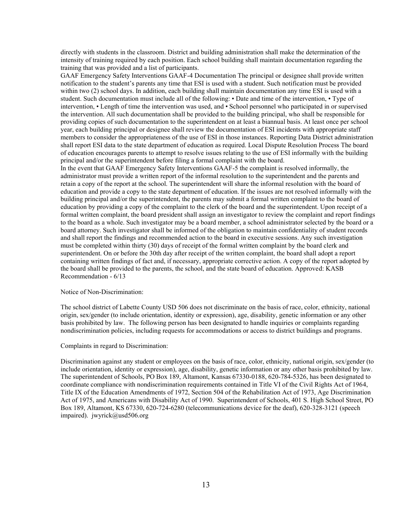directly with students in the classroom. District and building administration shall make the determination of the intensity of training required by each position. Each school building shall maintain documentation regarding the training that was provided and a list of participants.

GAAF Emergency Safety Interventions GAAF-4 Documentation The principal or designee shall provide written notification to the student's parents any time that ESI is used with a student. Such notification must be provided within two (2) school days. In addition, each building shall maintain documentation any time ESI is used with a student. Such documentation must include all of the following: • Date and time of the intervention, • Type of intervention, • Length of time the intervention was used, and • School personnel who participated in or supervised the intervention. All such documentation shall be provided to the building principal, who shall be responsible for providing copies of such documentation to the superintendent on at least a biannual basis. At least once per school year, each building principal or designee shall review the documentation of ESI incidents with appropriate staff members to consider the appropriateness of the use of ESI in those instances. Reporting Data District administration shall report ESI data to the state department of education as required. Local Dispute Resolution Process The board of education encourages parents to attempt to resolve issues relating to the use of ESI informally with the building principal and/or the superintendent before filing a formal complaint with the board.

In the event that GAAF Emergency Safety Interventions GAAF-5 the complaint is resolved informally, the administrator must provide a written report of the informal resolution to the superintendent and the parents and retain a copy of the report at the school. The superintendent will share the informal resolution with the board of education and provide a copy to the state department of education. If the issues are not resolved informally with the building principal and/or the superintendent, the parents may submit a formal written complaint to the board of education by providing a copy of the complaint to the clerk of the board and the superintendent. Upon receipt of a formal written complaint, the board president shall assign an investigator to review the complaint and report findings to the board as a whole. Such investigator may be a board member, a school administrator selected by the board or a board attorney. Such investigator shall be informed of the obligation to maintain confidentiality of student records and shall report the findings and recommended action to the board in executive sessions. Any such investigation must be completed within thirty (30) days of receipt of the formal written complaint by the board clerk and superintendent. On or before the 30th day after receipt of the written complaint, the board shall adopt a report containing written findings of fact and, if necessary, appropriate corrective action. A copy of the report adopted by the board shall be provided to the parents, the school, and the state board of education. Approved: KASB Recommendation - 6/13

#### Notice of Non-Discrimination:

The school district of Labette County USD 506 does not discriminate on the basis of race, color, ethnicity, national origin, sex/gender (to include orientation, identity or expression), age, disability, genetic information or any other basis prohibited by law. The following person has been designated to handle inquiries or complaints regarding nondiscrimination policies, including requests for accommodations or access to district buildings and programs.

Complaints in regard to Discrimination:

Discrimination against any student or employees on the basis of race, color, ethnicity, national origin, sex/gender (to include orientation, identity or expression), age, disability, genetic information or any other basis prohibited by law. The superintendent of Schools, PO Box 189, Altamont, Kansas 67330-0188, 620-784-5326, has been designated to coordinate compliance with nondiscrimination requirements contained in Title VI of the Civil Rights Act of 1964, Title IX of the Education Amendments of 1972, Section 504 of the Rehabilitation Act of 1973, Age Discrimination Act of 1975, and Americans with Disability Act of 1990. Superintendent of Schools, 401 S. High School Street, PO Box 189, Altamont, KS 67330, 620-724-6280 (telecommunications device for the deaf), 620-328-3121 (speech impaired). jwyrick@usd506.org